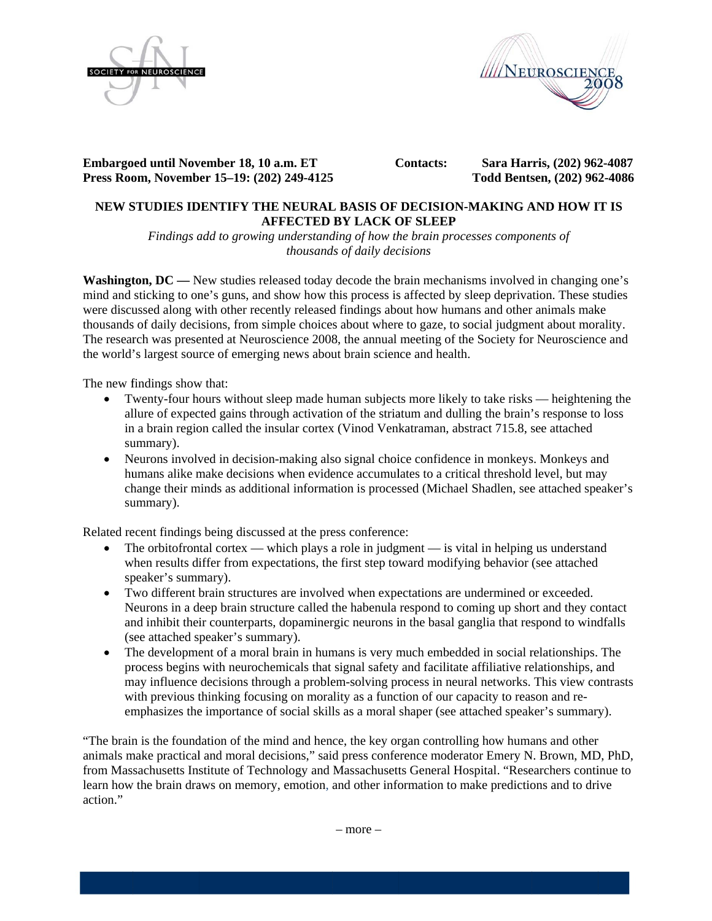



**Embargoed until November 18, 10 a.m. ET Press Roo om, Novemb er 15–19: (20 02) 249-4125 5** 

 **C Contacts:** 

 **Sara Har rris, (202) 962 2-4087 Todd Bents sen, (202) 96 2-4086** 

# **NEW S STUDIES ID DENTIFY TH HE NEURAL L BASIS OF DECISION--MAKING A AND HOW I IT IS A AFFECTED BY LACK O OF SLEEP**

*Findings add to growing understanding of how the brain processes components of diousands of daily decisions* 

**Washington, DC** — New studies released today decode the brain mechanisms involved in changing one's mind and sticking to one's guns, and show how this process is affected by sleep deprivation. These studies were discussed along with other recently released findings about how humans and other animals make thousands of daily decisions, from simple choices about where to gaze, to social judgment about morality. The research was presented at Neuroscience 2008, the annual meeting of the Society for Neuroscience and the world's largest source of emerging news about brain science and health.

The new findings show that:

- Twenty-four hours without sleep made human subjects more likely to take risks heightening the allure of expected gains through activation of the striatum and dulling the brain's response to loss in a brain region called the insular cortex (Vinod Venkatraman, abstract 715.8, see attached summary).
- Neurons involved in decision-making also signal choice confidence in monkeys. Monkeys and humans alike make decisions when evidence accumulates to a critical threshold level, but may change their minds as additional information is processed (Michael Shadlen, see attached speaker's summary).

Related recent findings being discussed at the press conference:

- The orbitofrontal cortex which plays a role in judgment is vital in helping us understand when results differ from expectations, the first step toward modifying behavior (see attached speaker's summary).
- Two different brain structures are involved when expectations are undermined or exceeded. Neurons in a deep brain structure called the habenula respond to coming up short and they contact and inhibit their counterparts, dopaminergic neurons in the basal ganglia that respond to windfalls (see attached speaker's summary).
- The development of a moral brain in humans is very much embedded in social relationships. The process begins with neurochemicals that signal safety and facilitate affiliative relationships, and may influence decisions through a problem-solving process in neural networks. This view contrasts with previous thinking focusing on morality as a function of our capacity to reason and reemphasizes the importance of social skills as a moral shaper (see attached speaker's summary).

"The brain is the foundation of the mind and hence, the key organ controlling how humans and other "The brain is the foundation of the mind and hence, the key organ controlling how humans and other animals make practical and moral decisions," said press conference moderator Emery N. Brown, MD, PhD, from Massachusetts Institute of Technology and Massachusetts General Hospital. "Researchers continue to learn how the brain draws on memory, emotion, and other information to make predictions and to drive action."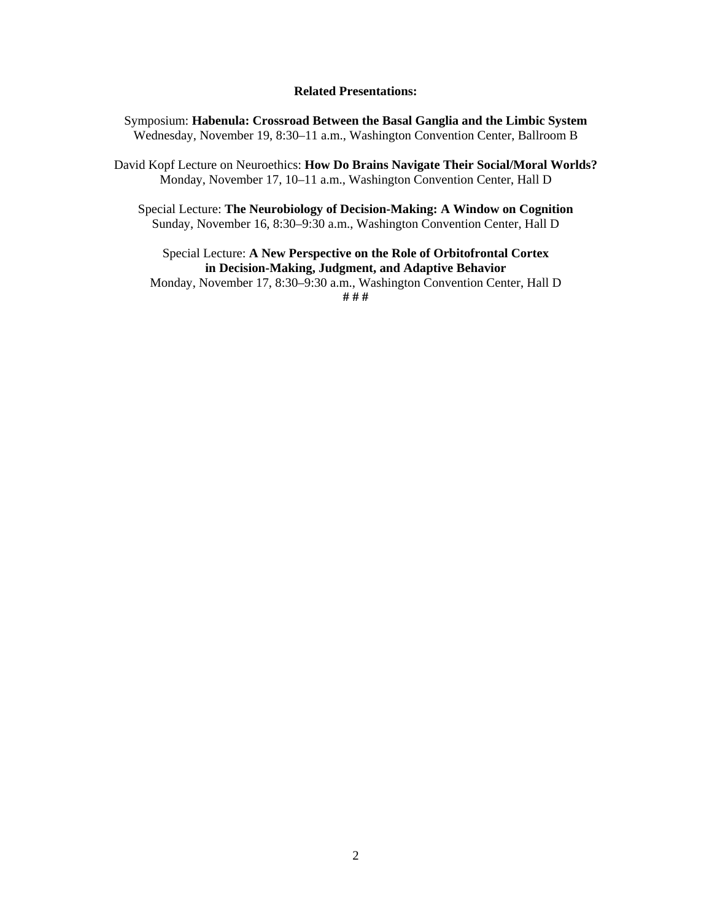#### **Related Presentations:**

Symposium: **Habenula: Crossroad Between the Basal Ganglia and the Limbic System**  Wednesday, November 19, 8:30–11 a.m., Washington Convention Center, Ballroom B

David Kopf Lecture on Neuroethics: **How Do Brains Navigate Their Social/Moral Worlds?**  Monday, November 17, 10–11 a.m., Washington Convention Center, Hall D

Special Lecture: **The Neurobiology of Decision-Making: A Window on Cognition**  Sunday, November 16, 8:30–9:30 a.m., Washington Convention Center, Hall D

Special Lecture: **A New Perspective on the Role of Orbitofrontal Cortex in Decision-Making, Judgment, and Adaptive Behavior** 

Monday, November 17, 8:30–9:30 a.m., Washington Convention Center, Hall D **# # #**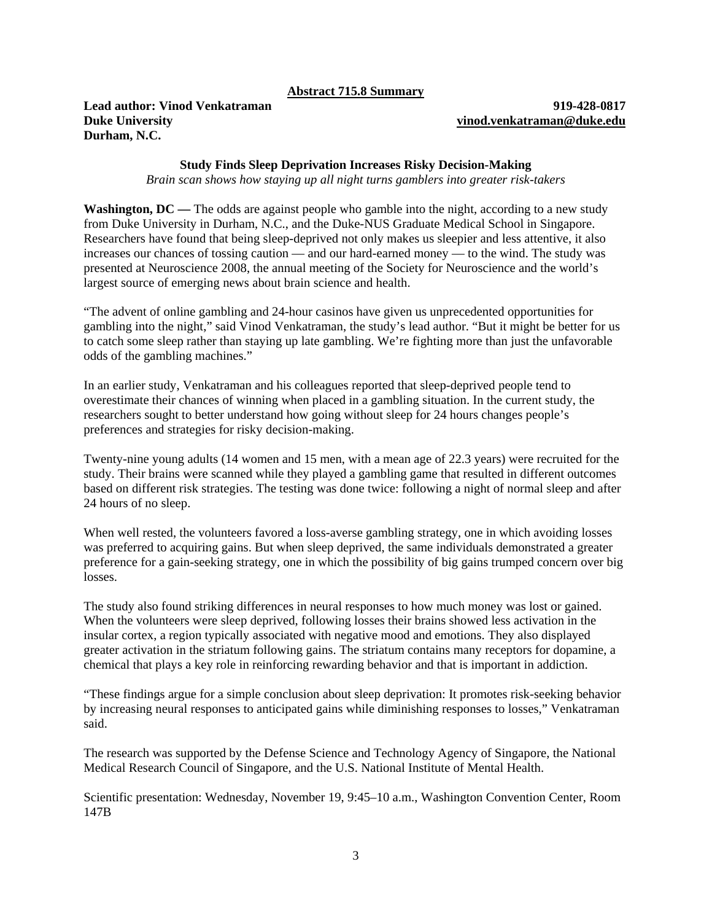#### **Abstract 715.8 Summary**

**Lead author: Vinod Venkatraman 919-428-0817 Duke University vinod.venkatraman@duke.edu Durham, N.C.** 

### **Study Finds Sleep Deprivation Increases Risky Decision-Making**

*Brain scan shows how staying up all night turns gamblers into greater risk-takers* 

**Washington, DC** — The odds are against people who gamble into the night, according to a new study from Duke University in Durham, N.C., and the Duke-NUS Graduate Medical School in Singapore. Researchers have found that being sleep-deprived not only makes us sleepier and less attentive, it also increases our chances of tossing caution — and our hard-earned money — to the wind. The study was presented at Neuroscience 2008, the annual meeting of the Society for Neuroscience and the world's largest source of emerging news about brain science and health.

"The advent of online gambling and 24-hour casinos have given us unprecedented opportunities for gambling into the night," said Vinod Venkatraman, the study's lead author. "But it might be better for us to catch some sleep rather than staying up late gambling. We're fighting more than just the unfavorable odds of the gambling machines."

In an earlier study, Venkatraman and his colleagues reported that sleep-deprived people tend to overestimate their chances of winning when placed in a gambling situation. In the current study, the researchers sought to better understand how going without sleep for 24 hours changes people's preferences and strategies for risky decision-making.

Twenty-nine young adults (14 women and 15 men, with a mean age of 22.3 years) were recruited for the study. Their brains were scanned while they played a gambling game that resulted in different outcomes based on different risk strategies. The testing was done twice: following a night of normal sleep and after 24 hours of no sleep.

When well rested, the volunteers favored a loss-averse gambling strategy, one in which avoiding losses was preferred to acquiring gains. But when sleep deprived, the same individuals demonstrated a greater preference for a gain-seeking strategy, one in which the possibility of big gains trumped concern over big losses.

The study also found striking differences in neural responses to how much money was lost or gained. When the volunteers were sleep deprived, following losses their brains showed less activation in the insular cortex, a region typically associated with negative mood and emotions. They also displayed greater activation in the striatum following gains. The striatum contains many receptors for dopamine, a chemical that plays a key role in reinforcing rewarding behavior and that is important in addiction.

"These findings argue for a simple conclusion about sleep deprivation: It promotes risk-seeking behavior by increasing neural responses to anticipated gains while diminishing responses to losses," Venkatraman said.

The research was supported by the Defense Science and Technology Agency of Singapore, the National Medical Research Council of Singapore, and the U.S. National Institute of Mental Health.

Scientific presentation: Wednesday, November 19, 9:45–10 a.m., Washington Convention Center, Room 147B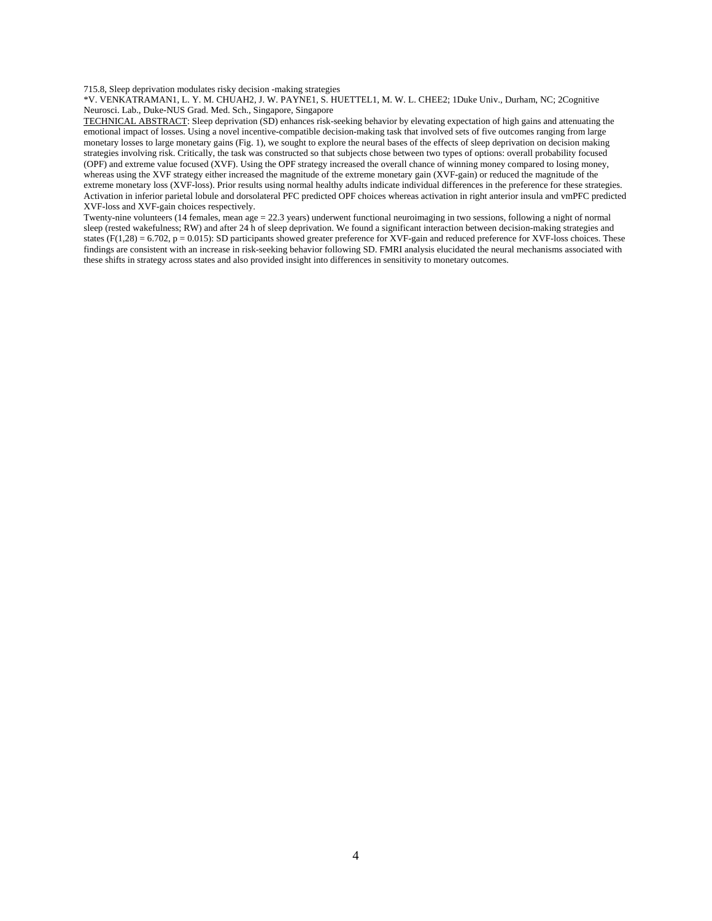715.8, Sleep deprivation modulates risky decision -making strategies

\*V. VENKATRAMAN1, L. Y. M. CHUAH2, J. W. PAYNE1, S. HUETTEL1, M. W. L. CHEE2; 1Duke Univ., Durham, NC; 2Cognitive Neurosci. Lab., Duke-NUS Grad. Med. Sch., Singapore, Singapore

TECHNICAL ABSTRACT: Sleep deprivation (SD) enhances risk-seeking behavior by elevating expectation of high gains and attenuating the emotional impact of losses. Using a novel incentive-compatible decision-making task that involved sets of five outcomes ranging from large monetary losses to large monetary gains (Fig. 1), we sought to explore the neural bases of the effects of sleep deprivation on decision making strategies involving risk. Critically, the task was constructed so that subjects chose between two types of options: overall probability focused (OPF) and extreme value focused (XVF). Using the OPF strategy increased the overall chance of winning money compared to losing money, whereas using the XVF strategy either increased the magnitude of the extreme monetary gain (XVF-gain) or reduced the magnitude of the extreme monetary loss (XVF-loss). Prior results using normal healthy adults indicate individual differences in the preference for these strategies. Activation in inferior parietal lobule and dorsolateral PFC predicted OPF choices whereas activation in right anterior insula and vmPFC predicted XVF-loss and XVF-gain choices respectively.

Twenty-nine volunteers (14 females, mean age = 22.3 years) underwent functional neuroimaging in two sessions, following a night of normal sleep (rested wakefulness; RW) and after 24 h of sleep deprivation. We found a significant interaction between decision-making strategies and states ( $F(1,28) = 6.702$ ,  $p = 0.015$ ): SD participants showed greater preference for XVF-gain and reduced preference for XVF-loss choices. These findings are consistent with an increase in risk-seeking behavior following SD. FMRI analysis elucidated the neural mechanisms associated with these shifts in strategy across states and also provided insight into differences in sensitivity to monetary outcomes.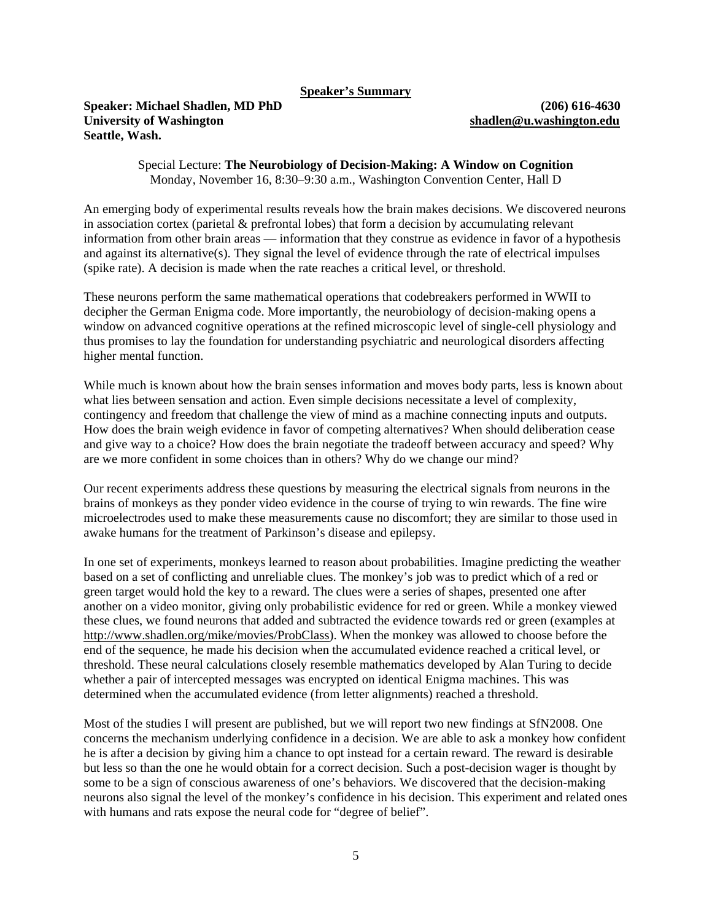**Speaker's Summary**

## **Speaker: Michael Shadlen, MD PhD (206) 616-4630 University of Washington shadlen@u.washington.edu Seattle, Wash.**

Special Lecture: **The Neurobiology of Decision-Making: A Window on Cognition**  Monday, November 16, 8:30–9:30 a.m., Washington Convention Center, Hall D

An emerging body of experimental results reveals how the brain makes decisions. We discovered neurons in association cortex (parietal & prefrontal lobes) that form a decision by accumulating relevant information from other brain areas — information that they construe as evidence in favor of a hypothesis and against its alternative(s). They signal the level of evidence through the rate of electrical impulses (spike rate). A decision is made when the rate reaches a critical level, or threshold.

These neurons perform the same mathematical operations that codebreakers performed in WWII to decipher the German Enigma code. More importantly, the neurobiology of decision-making opens a window on advanced cognitive operations at the refined microscopic level of single-cell physiology and thus promises to lay the foundation for understanding psychiatric and neurological disorders affecting higher mental function.

While much is known about how the brain senses information and moves body parts, less is known about what lies between sensation and action. Even simple decisions necessitate a level of complexity, contingency and freedom that challenge the view of mind as a machine connecting inputs and outputs. How does the brain weigh evidence in favor of competing alternatives? When should deliberation cease and give way to a choice? How does the brain negotiate the tradeoff between accuracy and speed? Why are we more confident in some choices than in others? Why do we change our mind?

Our recent experiments address these questions by measuring the electrical signals from neurons in the brains of monkeys as they ponder video evidence in the course of trying to win rewards. The fine wire microelectrodes used to make these measurements cause no discomfort; they are similar to those used in awake humans for the treatment of Parkinson's disease and epilepsy.

In one set of experiments, monkeys learned to reason about probabilities. Imagine predicting the weather based on a set of conflicting and unreliable clues. The monkey's job was to predict which of a red or green target would hold the key to a reward. The clues were a series of shapes, presented one after another on a video monitor, giving only probabilistic evidence for red or green. While a monkey viewed these clues, we found neurons that added and subtracted the evidence towards red or green (examples at http://www.shadlen.org/mike/movies/ProbClass). When the monkey was allowed to choose before the end of the sequence, he made his decision when the accumulated evidence reached a critical level, or threshold. These neural calculations closely resemble mathematics developed by Alan Turing to decide whether a pair of intercepted messages was encrypted on identical Enigma machines. This was determined when the accumulated evidence (from letter alignments) reached a threshold.

Most of the studies I will present are published, but we will report two new findings at SfN2008. One concerns the mechanism underlying confidence in a decision. We are able to ask a monkey how confident he is after a decision by giving him a chance to opt instead for a certain reward. The reward is desirable but less so than the one he would obtain for a correct decision. Such a post-decision wager is thought by some to be a sign of conscious awareness of one's behaviors. We discovered that the decision-making neurons also signal the level of the monkey's confidence in his decision. This experiment and related ones with humans and rats expose the neural code for "degree of belief".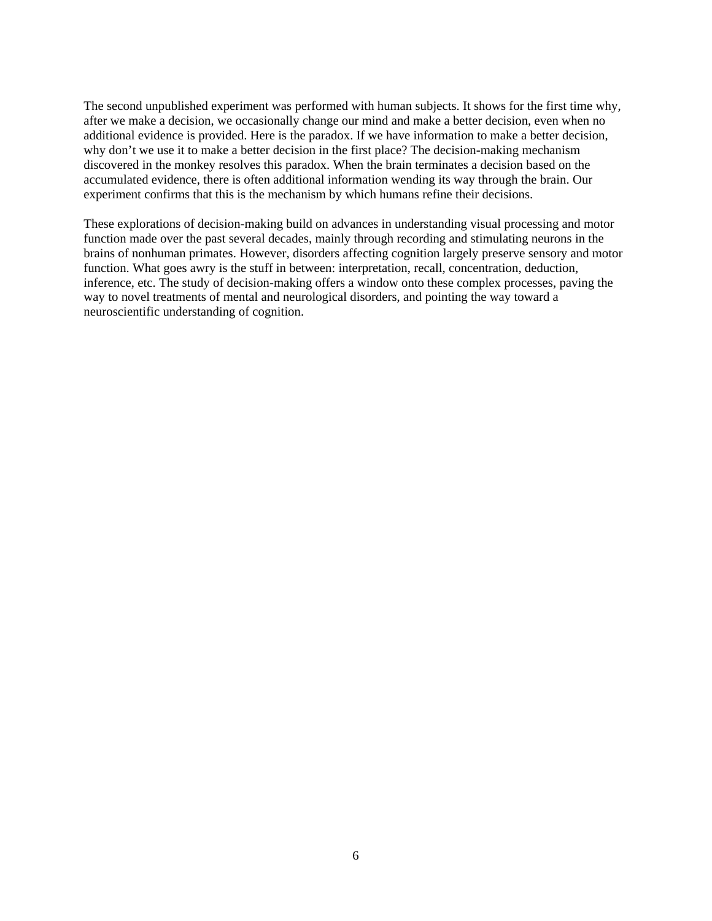The second unpublished experiment was performed with human subjects. It shows for the first time why, after we make a decision, we occasionally change our mind and make a better decision, even when no additional evidence is provided. Here is the paradox. If we have information to make a better decision, why don't we use it to make a better decision in the first place? The decision-making mechanism discovered in the monkey resolves this paradox. When the brain terminates a decision based on the accumulated evidence, there is often additional information wending its way through the brain. Our experiment confirms that this is the mechanism by which humans refine their decisions.

These explorations of decision-making build on advances in understanding visual processing and motor function made over the past several decades, mainly through recording and stimulating neurons in the brains of nonhuman primates. However, disorders affecting cognition largely preserve sensory and motor function. What goes awry is the stuff in between: interpretation, recall, concentration, deduction, inference, etc. The study of decision-making offers a window onto these complex processes, paving the way to novel treatments of mental and neurological disorders, and pointing the way toward a neuroscientific understanding of cognition.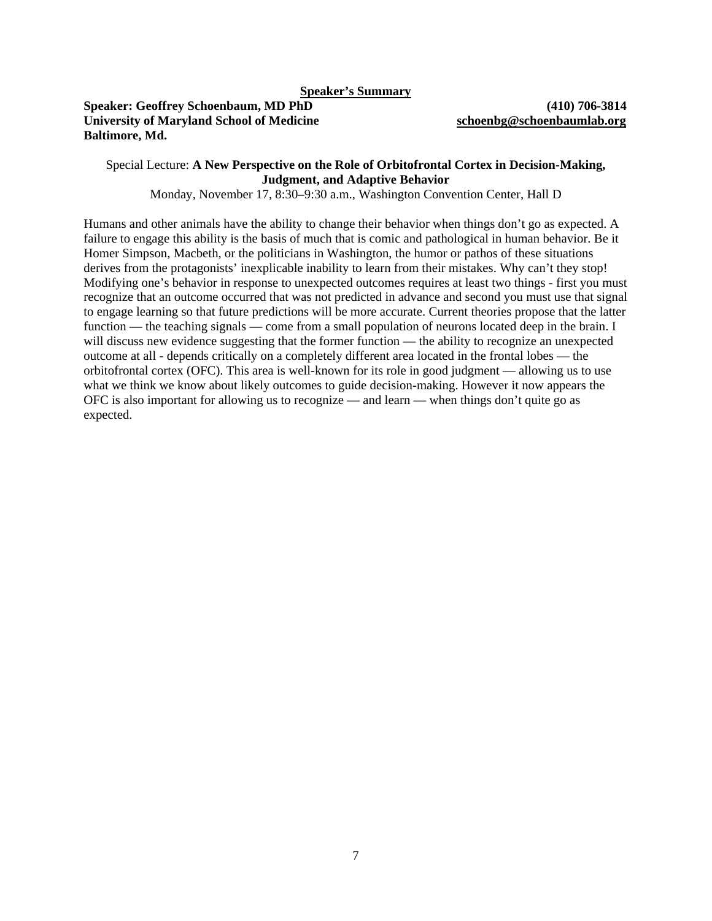## **Speaker: Geoffrey Schoenbaum, MD PhD (410) 706-3814 University of Maryland School of Medicine schoenbg@schoenbaumlab.org Baltimore, Md.**

## Special Lecture: **A New Perspective on the Role of Orbitofrontal Cortex in Decision-Making, Judgment, and Adaptive Behavior**

Monday, November 17, 8:30–9:30 a.m., Washington Convention Center, Hall D

Humans and other animals have the ability to change their behavior when things don't go as expected. A failure to engage this ability is the basis of much that is comic and pathological in human behavior. Be it Homer Simpson, Macbeth, or the politicians in Washington, the humor or pathos of these situations derives from the protagonists' inexplicable inability to learn from their mistakes. Why can't they stop! Modifying one's behavior in response to unexpected outcomes requires at least two things - first you must recognize that an outcome occurred that was not predicted in advance and second you must use that signal to engage learning so that future predictions will be more accurate. Current theories propose that the latter function — the teaching signals — come from a small population of neurons located deep in the brain. I will discuss new evidence suggesting that the former function — the ability to recognize an unexpected outcome at all - depends critically on a completely different area located in the frontal lobes — the orbitofrontal cortex (OFC). This area is well-known for its role in good judgment — allowing us to use what we think we know about likely outcomes to guide decision-making. However it now appears the OFC is also important for allowing us to recognize — and learn — when things don't quite go as expected.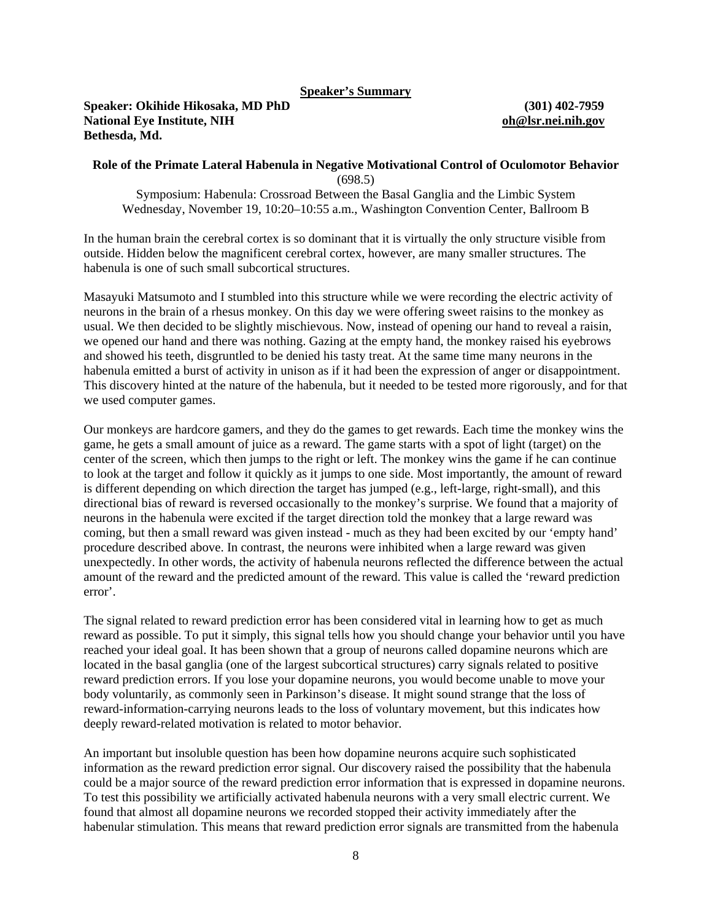#### **Speaker's Summary**

#### **Speaker: Okihide Hikosaka, MD PhD (301) 402-7959 National Eye Institute, NIH oh@lsr.nei.nih.gov Bethesda, Md.**

#### **Role of the Primate Lateral Habenula in Negative Motivational Control of Oculomotor Behavior**  (698.5)

Symposium: Habenula: Crossroad Between the Basal Ganglia and the Limbic System Wednesday, November 19, 10:20–10:55 a.m., Washington Convention Center, Ballroom B

In the human brain the cerebral cortex is so dominant that it is virtually the only structure visible from outside. Hidden below the magnificent cerebral cortex, however, are many smaller structures. The habenula is one of such small subcortical structures.

Masayuki Matsumoto and I stumbled into this structure while we were recording the electric activity of neurons in the brain of a rhesus monkey. On this day we were offering sweet raisins to the monkey as usual. We then decided to be slightly mischievous. Now, instead of opening our hand to reveal a raisin, we opened our hand and there was nothing. Gazing at the empty hand, the monkey raised his eyebrows and showed his teeth, disgruntled to be denied his tasty treat. At the same time many neurons in the habenula emitted a burst of activity in unison as if it had been the expression of anger or disappointment. This discovery hinted at the nature of the habenula, but it needed to be tested more rigorously, and for that we used computer games.

Our monkeys are hardcore gamers, and they do the games to get rewards. Each time the monkey wins the game, he gets a small amount of juice as a reward. The game starts with a spot of light (target) on the center of the screen, which then jumps to the right or left. The monkey wins the game if he can continue to look at the target and follow it quickly as it jumps to one side. Most importantly, the amount of reward is different depending on which direction the target has jumped (e.g., left-large, right-small), and this directional bias of reward is reversed occasionally to the monkey's surprise. We found that a majority of neurons in the habenula were excited if the target direction told the monkey that a large reward was coming, but then a small reward was given instead - much as they had been excited by our 'empty hand' procedure described above. In contrast, the neurons were inhibited when a large reward was given unexpectedly. In other words, the activity of habenula neurons reflected the difference between the actual amount of the reward and the predicted amount of the reward. This value is called the 'reward prediction error'.

The signal related to reward prediction error has been considered vital in learning how to get as much reward as possible. To put it simply, this signal tells how you should change your behavior until you have reached your ideal goal. It has been shown that a group of neurons called dopamine neurons which are located in the basal ganglia (one of the largest subcortical structures) carry signals related to positive reward prediction errors. If you lose your dopamine neurons, you would become unable to move your body voluntarily, as commonly seen in Parkinson's disease. It might sound strange that the loss of reward-information-carrying neurons leads to the loss of voluntary movement, but this indicates how deeply reward-related motivation is related to motor behavior.

An important but insoluble question has been how dopamine neurons acquire such sophisticated information as the reward prediction error signal. Our discovery raised the possibility that the habenula could be a major source of the reward prediction error information that is expressed in dopamine neurons. To test this possibility we artificially activated habenula neurons with a very small electric current. We found that almost all dopamine neurons we recorded stopped their activity immediately after the habenular stimulation. This means that reward prediction error signals are transmitted from the habenula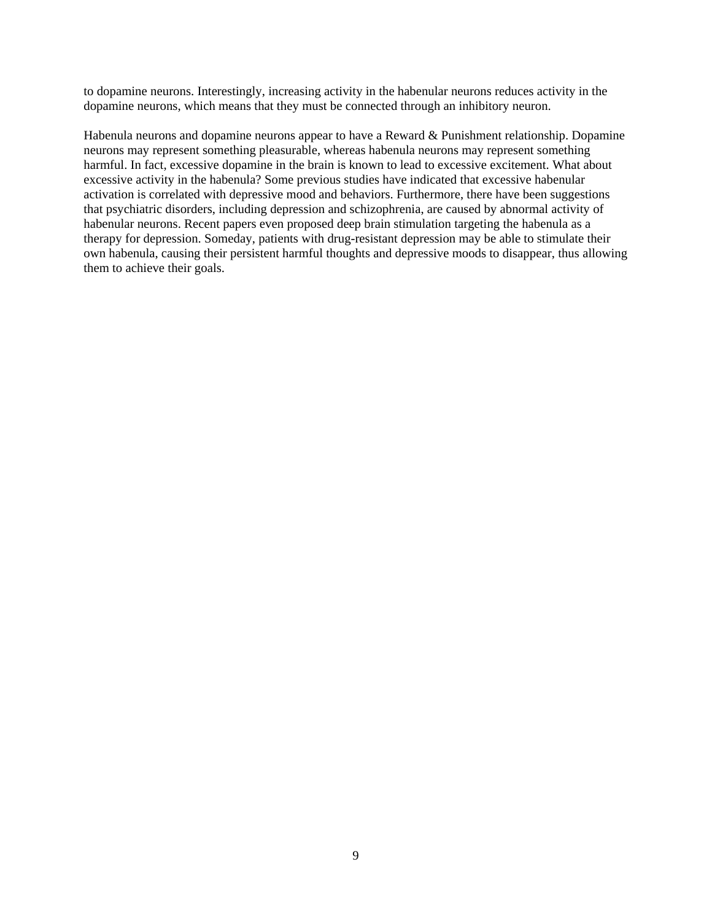to dopamine neurons. Interestingly, increasing activity in the habenular neurons reduces activity in the dopamine neurons, which means that they must be connected through an inhibitory neuron.

Habenula neurons and dopamine neurons appear to have a Reward & Punishment relationship. Dopamine neurons may represent something pleasurable, whereas habenula neurons may represent something harmful. In fact, excessive dopamine in the brain is known to lead to excessive excitement. What about excessive activity in the habenula? Some previous studies have indicated that excessive habenular activation is correlated with depressive mood and behaviors. Furthermore, there have been suggestions that psychiatric disorders, including depression and schizophrenia, are caused by abnormal activity of habenular neurons. Recent papers even proposed deep brain stimulation targeting the habenula as a therapy for depression. Someday, patients with drug-resistant depression may be able to stimulate their own habenula, causing their persistent harmful thoughts and depressive moods to disappear, thus allowing them to achieve their goals.